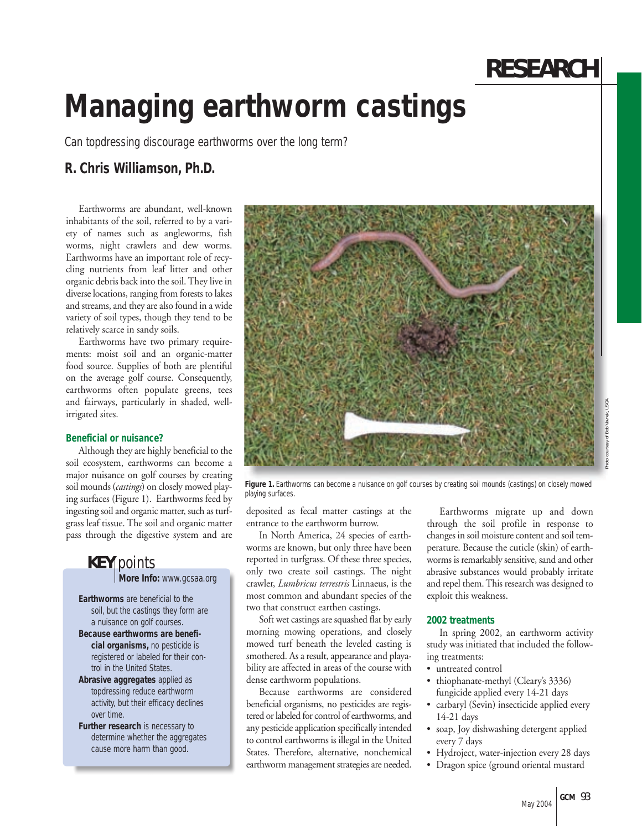## **RESEARCH**

# **Managing earthworm castings**

Can topdressing discourage earthworms over the long term?

#### **R. Chris Williamson, Ph.D.**

Earthworms are abundant, well-known inhabitants of the soil, referred to by a variety of names such as angleworms, fish worms, night crawlers and dew worms. Earthworms have an important role of recycling nutrients from leaf litter and other organic debris back into the soil. They live in diverse locations, ranging from forests to lakes and streams, and they are also found in a wide variety of soil types, though they tend to be relatively scarce in sandy soils.

Earthworms have two primary requirements: moist soil and an organic-matter food source. Supplies of both are plentiful on the average golf course. Consequently, earthworms often populate greens, tees and fairways, particularly in shaded, wellirrigated sites.

#### **Beneficial or nuisance?**

Although they are highly beneficial to the soil ecosystem, earthworms can become a major nuisance on golf courses by creating soil mounds (*castings*) on closely mowed playing surfaces (Figure 1). Earthworms feed by ingesting soil and organic matter, such as turfgrass leaf tissue. The soil and organic matter pass through the digestive system and are

### **KEY** points

**More Info:** www.gcsaa.org

- **Earthworms** are beneficial to the soil, but the castings they form are a nuisance on golf courses.
- **Because earthworms are beneficial organisms,** no pesticide is registered or labeled for their control in the United States.
- **Abrasive aggregates** applied as topdressing reduce earthworm activity, but their efficacy declines over time.
- **Further research** is necessary to determine whether the aggregates cause more harm than good.



**Figure 1.** Earthworms can become a nuisance on golf courses by creating soil mounds (castings) on closely mowed playing surfaces.

deposited as fecal matter castings at the entrance to the earthworm burrow.

In North America, 24 species of earthworms are known, but only three have been reported in turfgrass. Of these three species, only two create soil castings. The night crawler, *Lumbricus terrestris* Linnaeus, is the most common and abundant species of the two that construct earthen castings.

Soft wet castings are squashed flat by early morning mowing operations, and closely mowed turf beneath the leveled casting is smothered. As a result, appearance and playability are affected in areas of the course with dense earthworm populations.

Because earthworms are considered beneficial organisms, no pesticides are registered or labeled for control of earthworms, and any pesticide application specifically intended to control earthworms is illegal in the United States. Therefore, alternative, nonchemical earthworm management strategies are needed.

Earthworms migrate up and down through the soil profile in response to changes in soil moisture content and soil temperature. Because the cuticle (skin) of earthworms is remarkably sensitive, sand and other abrasive substances would probably irritate and repel them. This research was designed to exploit this weakness.

#### **2002 treatments**

In spring 2002, an earthworm activity study was initiated that included the following treatments:

- untreated control
- thiophanate-methyl (Cleary's 3336) fungicide applied every 14-21 days
- carbaryl (Sevin) insecticide applied every 14-21 days
- soap, Joy dishwashing detergent applied every 7 days
- Hydroject, water-injection every 28 days
- Dragon spice (ground oriental mustard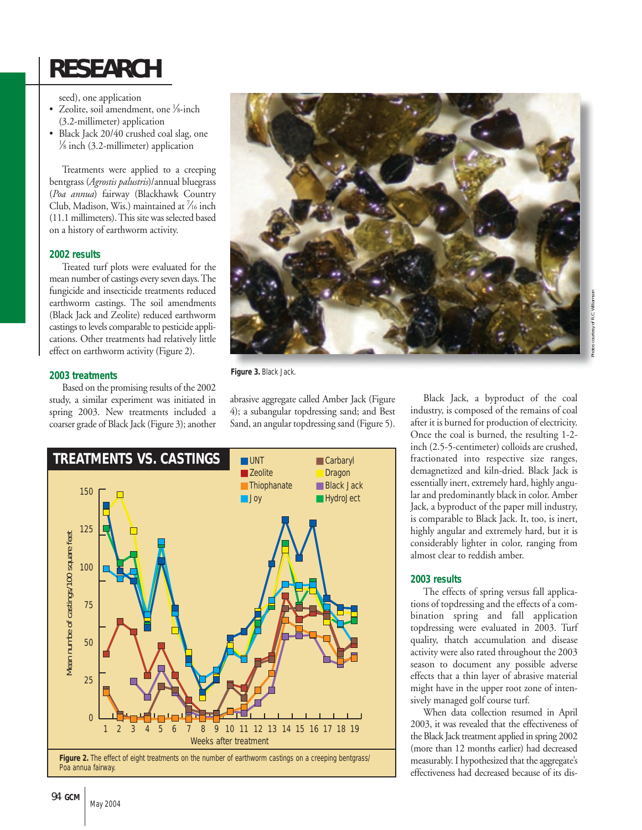### **RESEARCH**

seed), one application

- Zeolite, soil amendment, one <sup>1</sup>/8-inch (3.2-millimeter) application
- Black Jack 20/40 crushed coal slag, one 1 ⁄8 inch (3.2-millimeter) application

Treatments were applied to a creeping bentgrass (*Agrostis palustris*)/annual bluegrass (*Poa annua*) fairway (Blackhawk Country Club, Madison, Wis.) maintained at 1/16 inch (11.1 millimeters). This site was selected based on a history of earthworm activity.

#### **2002 results**

Treated turf plots were evaluated for the mean number of castings every seven days. The fungicide and insecticide treatments reduced earthworm castings. The soil amendments (Black Jack and Zeolite) reduced earthworm castings to levels comparable to pesticide applications. Other treatments had relatively little effect on earthworm activity (Figure 2).

#### **2003 treatments**

Based on the promising results of the 2002 study, a similar experiment was initiated in spring 2003. New treatments included a coarser grade of Black Jack (Figure 3); another



**Figure 3.** Black Jack.

abrasive aggregate called Amber Jack (Figure 4); a subangular topdressing sand; and Best Sand, an angular topdressing sand (Figure 5).



*Poa annua* fairway.

Black Jack, a byproduct of the coal industry, is composed of the remains of coal after it is burned for production of electricity. Once the coal is burned, the resulting 1-2 inch (2.5-5-centimeter) colloids are crushed, fractionated into respective size ranges, demagnetized and kiln-dried. Black Jack is essentially inert, extremely hard, highly angular and predominantly black in color. Amber Jack, a byproduct of the paper mill industry, is comparable to Black Jack. It, too, is inert, highly angular and extremely hard, but it is considerably lighter in color, ranging from almost clear to reddish amber.

#### **2003 results**

The effects of spring versus fall applications of topdressing and the effects of a combination spring and fall application topdressing were evaluated in 2003. Turf quality, thatch accumulation and disease activity were also rated throughout the 2003 season to document any possible adverse effects that a thin layer of abrasive material might have in the upper root zone of intensively managed golf course turf.

When data collection resumed in April 2003, it was revealed that the effectiveness of the Black Jack treatment applied in spring 2002 (more than 12 months earlier) had decreased measurably. I hypothesized that the aggregate's effectiveness had decreased because of its dis-